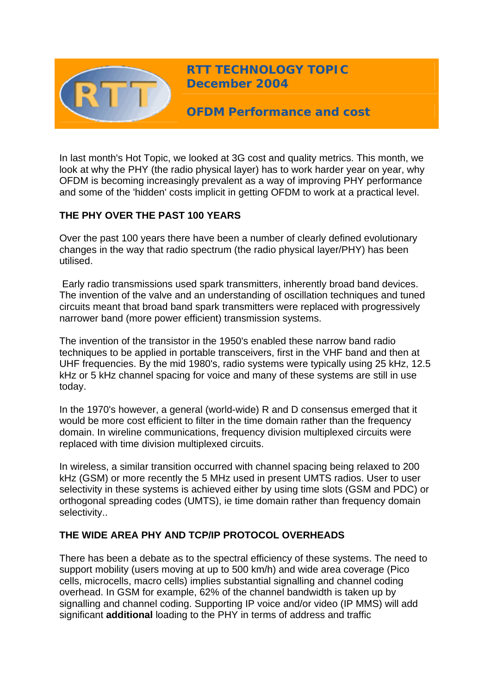

**RTT TECHNOLOGY TOPIC December 2004**

**OFDM Performance and cost** 

In last month's Hot Topic, we looked at 3G cost and quality metrics. This month, we look at why the PHY (the radio physical layer) has to work harder year on year, why OFDM is becoming increasingly prevalent as a way of improving PHY performance and some of the 'hidden' costs implicit in getting OFDM to work at a practical level.

### **THE PHY OVER THE PAST 100 YEARS**

Over the past 100 years there have been a number of clearly defined evolutionary changes in the way that radio spectrum (the radio physical layer/PHY) has been utilised.

 Early radio transmissions used spark transmitters, inherently broad band devices. The invention of the valve and an understanding of oscillation techniques and tuned circuits meant that broad band spark transmitters were replaced with progressively narrower band (more power efficient) transmission systems.

The invention of the transistor in the 1950's enabled these narrow band radio techniques to be applied in portable transceivers, first in the VHF band and then at UHF frequencies. By the mid 1980's, radio systems were typically using 25 kHz, 12.5 kHz or 5 kHz channel spacing for voice and many of these systems are still in use today.

In the 1970's however, a general (world-wide) R and D consensus emerged that it would be more cost efficient to filter in the time domain rather than the frequency domain. In wireline communications, frequency division multiplexed circuits were replaced with time division multiplexed circuits.

In wireless, a similar transition occurred with channel spacing being relaxed to 200 kHz (GSM) or more recently the 5 MHz used in present UMTS radios. User to user selectivity in these systems is achieved either by using time slots (GSM and PDC) or orthogonal spreading codes (UMTS), ie time domain rather than frequency domain selectivity..

#### **THE WIDE AREA PHY AND TCP/IP PROTOCOL OVERHEADS**

There has been a debate as to the spectral efficiency of these systems. The need to support mobility (users moving at up to 500 km/h) and wide area coverage (Pico cells, microcells, macro cells) implies substantial signalling and channel coding overhead. In GSM for example, 62% of the channel bandwidth is taken up by signalling and channel coding. Supporting IP voice and/or video (IP MMS) will add significant **additional** loading to the PHY in terms of address and traffic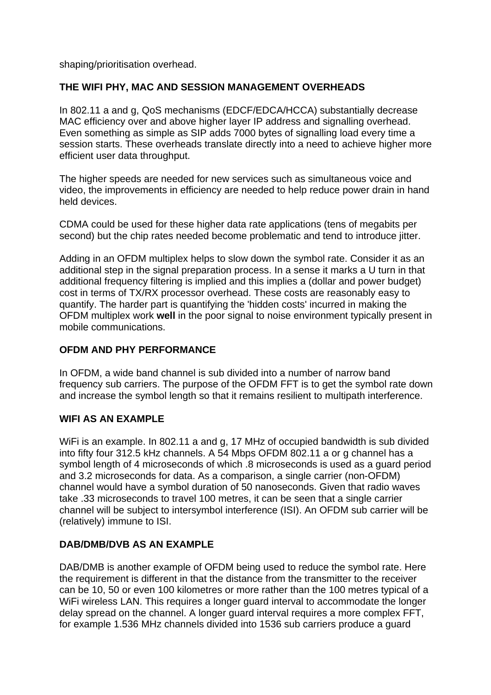shaping/prioritisation overhead.

# **THE WIFI PHY, MAC AND SESSION MANAGEMENT OVERHEADS**

In 802.11 a and g, QoS mechanisms (EDCF/EDCA/HCCA) substantially decrease MAC efficiency over and above higher layer IP address and signalling overhead. Even something as simple as SIP adds 7000 bytes of signalling load every time a session starts. These overheads translate directly into a need to achieve higher more efficient user data throughput.

The higher speeds are needed for new services such as simultaneous voice and video, the improvements in efficiency are needed to help reduce power drain in hand held devices.

CDMA could be used for these higher data rate applications (tens of megabits per second) but the chip rates needed become problematic and tend to introduce jitter.

Adding in an OFDM multiplex helps to slow down the symbol rate. Consider it as an additional step in the signal preparation process. In a sense it marks a U turn in that additional frequency filtering is implied and this implies a (dollar and power budget) cost in terms of TX/RX processor overhead. These costs are reasonably easy to quantify. The harder part is quantifying the 'hidden costs' incurred in making the OFDM multiplex work **well** in the poor signal to noise environment typically present in mobile communications.

# **OFDM AND PHY PERFORMANCE**

In OFDM, a wide band channel is sub divided into a number of narrow band frequency sub carriers. The purpose of the OFDM FFT is to get the symbol rate down and increase the symbol length so that it remains resilient to multipath interference.

# **WIFI AS AN EXAMPLE**

WiFi is an example. In 802.11 a and g, 17 MHz of occupied bandwidth is sub divided into fifty four 312.5 kHz channels. A 54 Mbps OFDM 802.11 a or g channel has a symbol length of 4 microseconds of which .8 microseconds is used as a guard period and 3.2 microseconds for data. As a comparison, a single carrier (non-OFDM) channel would have a symbol duration of 50 nanoseconds. Given that radio waves take .33 microseconds to travel 100 metres, it can be seen that a single carrier channel will be subject to intersymbol interference (ISI). An OFDM sub carrier will be (relatively) immune to ISI.

# **DAB/DMB/DVB AS AN EXAMPLE**

DAB/DMB is another example of OFDM being used to reduce the symbol rate. Here the requirement is different in that the distance from the transmitter to the receiver can be 10, 50 or even 100 kilometres or more rather than the 100 metres typical of a WiFi wireless LAN. This requires a longer quard interval to accommodate the longer delay spread on the channel. A longer guard interval requires a more complex FFT, for example 1.536 MHz channels divided into 1536 sub carriers produce a guard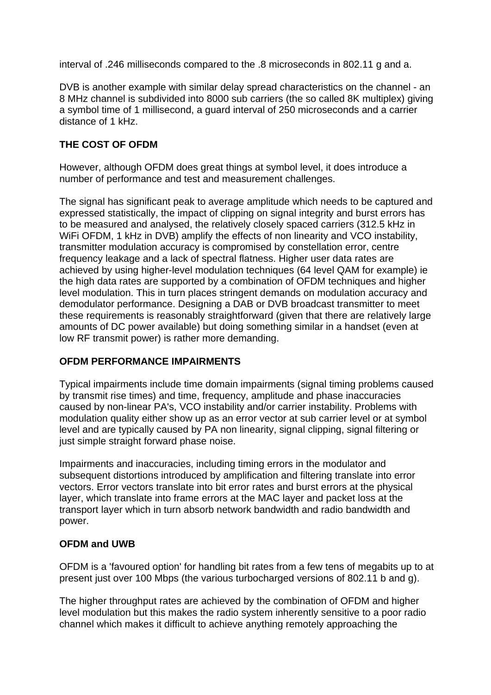interval of .246 milliseconds compared to the .8 microseconds in 802.11 g and a.

DVB is another example with similar delay spread characteristics on the channel - an 8 MHz channel is subdivided into 8000 sub carriers (the so called 8K multiplex) giving a symbol time of 1 millisecond, a guard interval of 250 microseconds and a carrier distance of 1 kHz.

### **THE COST OF OFDM**

However, although OFDM does great things at symbol level, it does introduce a number of performance and test and measurement challenges.

The signal has significant peak to average amplitude which needs to be captured and expressed statistically, the impact of clipping on signal integrity and burst errors has to be measured and analysed, the relatively closely spaced carriers (312.5 kHz in WiFi OFDM, 1 kHz in DVB) amplify the effects of non linearity and VCO instability. transmitter modulation accuracy is compromised by constellation error, centre frequency leakage and a lack of spectral flatness. Higher user data rates are achieved by using higher-level modulation techniques (64 level QAM for example) ie the high data rates are supported by a combination of OFDM techniques and higher level modulation. This in turn places stringent demands on modulation accuracy and demodulator performance. Designing a DAB or DVB broadcast transmitter to meet these requirements is reasonably straightforward (given that there are relatively large amounts of DC power available) but doing something similar in a handset (even at low RF transmit power) is rather more demanding.

#### **OFDM PERFORMANCE IMPAIRMENTS**

Typical impairments include time domain impairments (signal timing problems caused by transmit rise times) and time, frequency, amplitude and phase inaccuracies caused by non-linear PA's, VCO instability and/or carrier instability. Problems with modulation quality either show up as an error vector at sub carrier level or at symbol level and are typically caused by PA non linearity, signal clipping, signal filtering or just simple straight forward phase noise.

Impairments and inaccuracies, including timing errors in the modulator and subsequent distortions introduced by amplification and filtering translate into error vectors. Error vectors translate into bit error rates and burst errors at the physical layer, which translate into frame errors at the MAC layer and packet loss at the transport layer which in turn absorb network bandwidth and radio bandwidth and power.

# **OFDM and UWB**

OFDM is a 'favoured option' for handling bit rates from a few tens of megabits up to at present just over 100 Mbps (the various turbocharged versions of 802.11 b and g).

The higher throughput rates are achieved by the combination of OFDM and higher level modulation but this makes the radio system inherently sensitive to a poor radio channel which makes it difficult to achieve anything remotely approaching the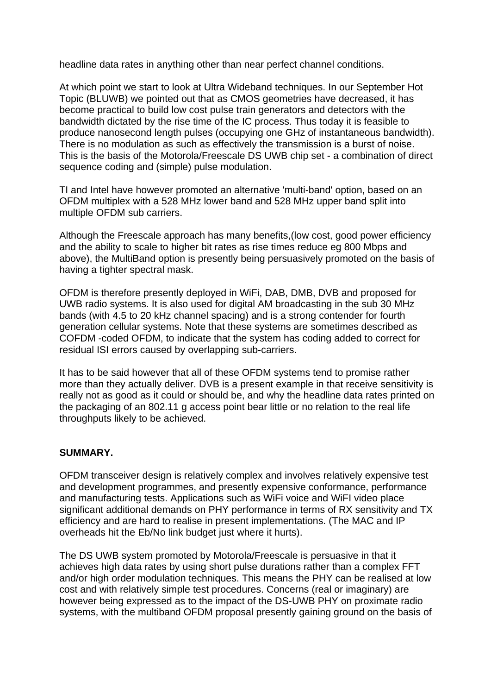headline data rates in anything other than near perfect channel conditions.

At which point we start to look at Ultra Wideband techniques. In our September Hot Topic (BLUWB) we pointed out that as CMOS geometries have decreased, it has become practical to build low cost pulse train generators and detectors with the bandwidth dictated by the rise time of the IC process. Thus today it is feasible to produce nanosecond length pulses (occupying one GHz of instantaneous bandwidth). There is no modulation as such as effectively the transmission is a burst of noise. This is the basis of the Motorola/Freescale DS UWB chip set - a combination of direct sequence coding and (simple) pulse modulation.

TI and Intel have however promoted an alternative 'multi-band' option, based on an OFDM multiplex with a 528 MHz lower band and 528 MHz upper band split into multiple OFDM sub carriers.

Although the Freescale approach has many benefits,(low cost, good power efficiency and the ability to scale to higher bit rates as rise times reduce eg 800 Mbps and above), the MultiBand option is presently being persuasively promoted on the basis of having a tighter spectral mask.

OFDM is therefore presently deployed in WiFi, DAB, DMB, DVB and proposed for UWB radio systems. It is also used for digital AM broadcasting in the sub 30 MHz bands (with 4.5 to 20 kHz channel spacing) and is a strong contender for fourth generation cellular systems. Note that these systems are sometimes described as COFDM -coded OFDM, to indicate that the system has coding added to correct for residual ISI errors caused by overlapping sub-carriers.

It has to be said however that all of these OFDM systems tend to promise rather more than they actually deliver. DVB is a present example in that receive sensitivity is really not as good as it could or should be, and why the headline data rates printed on the packaging of an 802.11 g access point bear little or no relation to the real life throughputs likely to be achieved.

#### **SUMMARY.**

OFDM transceiver design is relatively complex and involves relatively expensive test and development programmes, and presently expensive conformance, performance and manufacturing tests. Applications such as WiFi voice and WiFI video place significant additional demands on PHY performance in terms of RX sensitivity and TX efficiency and are hard to realise in present implementations. (The MAC and IP overheads hit the Eb/No link budget just where it hurts).

The DS UWB system promoted by Motorola/Freescale is persuasive in that it achieves high data rates by using short pulse durations rather than a complex FFT and/or high order modulation techniques. This means the PHY can be realised at low cost and with relatively simple test procedures. Concerns (real or imaginary) are however being expressed as to the impact of the DS-UWB PHY on proximate radio systems, with the multiband OFDM proposal presently gaining ground on the basis of